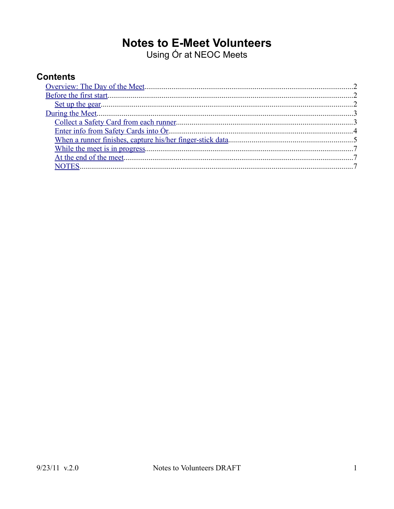# **Notes to E-Meet Volunteers**

Using Ór at NEOC Meets

# **Contents**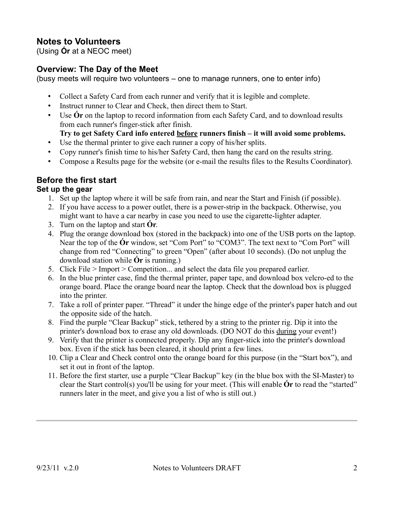# **Notes to Volunteers**

(Using **Ór** at a NEOC meet)

## <span id="page-1-0"></span>**Overview: The Day of the Meet**

(busy meets will require two volunteers – one to manage runners, one to enter info)

- Collect a Safety Card from each runner and verify that it is legible and complete.
- Instruct runner to Clear and Check, then direct them to Start.
- Use **Ór** on the laptop to record information from each Safety Card, and to download results from each runner's finger-stick after finish.
	- **Try to get Safety Card info entered before runners finish it will avoid some problems.**
- Use the thermal printer to give each runner a copy of his/her splits.
- Copy runner's finish time to his/her Safety Card, then hang the card on the results string.
- Compose a Results page for the website (or e-mail the results files to the Results Coordinator).

## <span id="page-1-2"></span>**Before the first start**

#### <span id="page-1-1"></span>**Set up the gear**

- 1. Set up the laptop where it will be safe from rain, and near the Start and Finish (if possible).
- 2. If you have access to a power outlet, there is a power-strip in the backpack. Otherwise, you might want to have a car nearby in case you need to use the cigarette-lighter adapter.
- 3. Turn on the laptop and start **Ór**.
- 4. Plug the orange download box (stored in the backpack) into one of the USB ports on the laptop. Near the top of the **Ór** window, set "Com Port" to "COM3". The text next to "Com Port" will change from red "Connecting" to green "Open" (after about 10 seconds). (Do not unplug the download station while **Ór** is running.)
- 5. Click File > Import > Competition... and select the data file you prepared earlier.
- 6. In the blue printer case, find the thermal printer, paper tape, and download box velcro-ed to the orange board. Place the orange board near the laptop. Check that the download box is plugged into the printer.
- 7. Take a roll of printer paper. "Thread" it under the hinge edge of the printer's paper hatch and out the opposite side of the hatch.
- 8. Find the purple "Clear Backup" stick, tethered by a string to the printer rig. Dip it into the printer's download box to erase any old downloads. (DO NOT do this during your event!)
- 9. Verify that the printer is connected properly. Dip any finger-stick into the printer's download box. Even if the stick has been cleared, it should print a few lines.
- 10. Clip a Clear and Check control onto the orange board for this purpose (in the "Start box"), and set it out in front of the laptop.
- 11. Before the first starter, use a purple "Clear Backup" key (in the blue box with the SI-Master) to clear the Start control(s) you'll be using for your meet. (This will enable **Ór** to read the "started" runners later in the meet, and give you a list of who is still out.)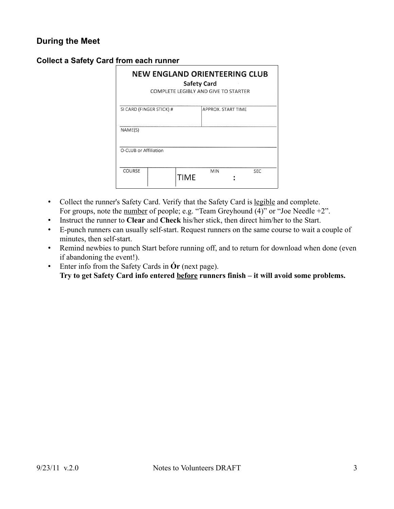#### <span id="page-2-1"></span>**During the Meet**

| <b>NEW ENGLAND ORIENTEERING CLUB</b><br><b>Safety Card</b><br>COMPLETE LEGIBLY AND GIVE TO STARTER |  |             |                    |            |  |  |
|----------------------------------------------------------------------------------------------------|--|-------------|--------------------|------------|--|--|
| SI CARD (FINGER STICK) #                                                                           |  |             | APPROX, START TIME |            |  |  |
| NAME(S)                                                                                            |  |             |                    |            |  |  |
| O-CLUB or Affiliation                                                                              |  |             |                    |            |  |  |
| COURSE                                                                                             |  | <b>TIME</b> | <b>MIN</b>         | <b>SEC</b> |  |  |

#### <span id="page-2-0"></span>**Collect a Safety Card from each runner**

- Collect the runner's Safety Card. Verify that the Safety Card is legible and complete. For groups, note the number of people; e.g. "Team Greyhound (4)" or "Joe Needle +2".
- Instruct the runner to **Clear** and **Check** his/her stick, then direct him/her to the Start.
- E-punch runners can usually self-start. Request runners on the same course to wait a couple of minutes, then self-start.
- Remind newbies to punch Start before running off, and to return for download when done (even if abandoning the event!).
- Enter info from the Safety Cards in **Ór** (next page). **Try to get Safety Card info entered before runners finish – it will avoid some problems.**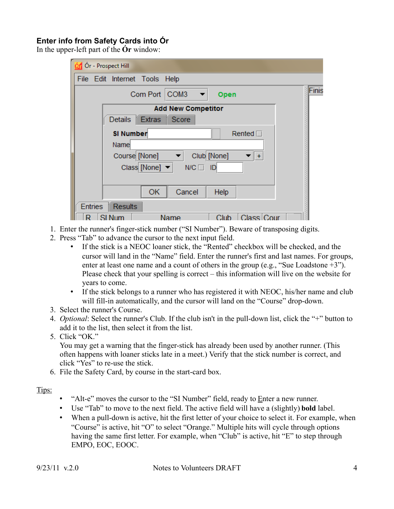## <span id="page-3-0"></span>**Enter info from Safety Cards into Ór**

In the upper-left part of the **Ór** window:

| Ór - Prospect Hill                                |       |
|---------------------------------------------------|-------|
| File Edit Internet Tools Help                     |       |
| Com Port COM3<br>$\overline{\phantom{a}}$<br>Open | Finis |
| <b>Add New Competitor</b>                         |       |
| Score<br>Extras<br>Details                        |       |
| <b>SI Number</b><br>Rented $\Box$                 |       |
| Name                                              |       |
| Club [None]<br>Course [None]                      |       |
| Class [None] $\blacktriangledown$<br>N/C<br>ID    |       |
|                                                   |       |
| Cancel<br>OK<br>Help                              |       |
| <b>Entries</b><br><b>Results</b>                  |       |
| Class Cour<br>Club<br>Name                        |       |

- 1. Enter the runner's finger-stick number ("SI Number"). Beware of transposing digits.
- 2. Press "Tab" to advance the cursor to the next input field.
	- If the stick is a NEOC loaner stick, the "Rented" checkbox will be checked, and the cursor will land in the "Name" field. Enter the runner's first and last names. For groups, enter at least one name and a count of others in the group (e.g., "Sue Loadstone +3"). Please check that your spelling is correct – this information will live on the website for years to come.
	- If the stick belongs to a runner who has registered it with NEOC, his/her name and club will fill-in automatically, and the cursor will land on the "Course" drop-down.
- 3. Select the runner's Course.
- 4. *Optional*: Select the runner's Club. If the club isn't in the pull-down list, click the "+" button to add it to the list, then select it from the list.
- 5. Click "OK."

You may get a warning that the finger-stick has already been used by another runner. (This often happens with loaner sticks late in a meet.) Verify that the stick number is correct, and click "Yes" to re-use the stick.

- 6. File the Safety Card, by course in the start-card box.
- Tips:
- "Alt-e" moves the cursor to the "SI Number" field, ready to Enter a new runner.
- Use "Tab" to move to the next field. The active field will have a (slightly) **bold** label.
- When a pull-down is active, hit the first letter of your choice to select it. For example, when "Course" is active, hit "O" to select "Orange." Multiple hits will cycle through options having the same first letter. For example, when "Club" is active, hit "E" to step through EMPO, EOC, EOOC.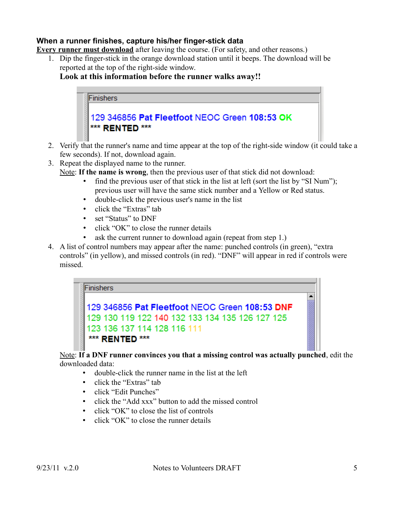#### <span id="page-4-0"></span>**When a runner finishes, capture his/her finger-stick data**

**Every runner must download** after leaving the course. (For safety, and other reasons.)

1. Dip the finger-stick in the orange download station until it beeps. The download will be reported at the top of the right-side window.

**Look at this information before the runner walks away!!**



- 2. Verify that the runner's name and time appear at the top of the right-side window (it could take a few seconds). If not, download again.
- 3. Repeat the displayed name to the runner.

Note: **If the name is wrong**, then the previous user of that stick did not download:

- find the previous user of that stick in the list at left (sort the list by "SI Num"); previous user will have the same stick number and a Yellow or Red status.
- double-click the previous user's name in the list
- click the "Extras" tab
- set "Status" to DNF
- click "OK" to close the runner details
- ask the current runner to download again (repeat from step 1.)
- 4. A list of control numbers may appear after the name: punched controls (in green), "extra controls" (in yellow), and missed controls (in red). "DNF" will appear in red if controls were missed.

#### **Finishers**

# 129 346856 Pat Fleetfoot NEOC Green 108:53 DNF 129 130 119 122 140 132 133 134 135 126 127 125 123 136 137 114 128 116 111 \*\*\* RENTED \*\*\*

Note: **If a DNF runner convinces you that a missing control was actually punched**, edit the downloaded data:

- double-click the runner name in the list at the left
- click the "Extras" tab
- click "Edit Punches"
- click the "Add xxx" button to add the missed control
- click "OK" to close the list of controls
- click "OK" to close the runner details

 $\blacktriangle$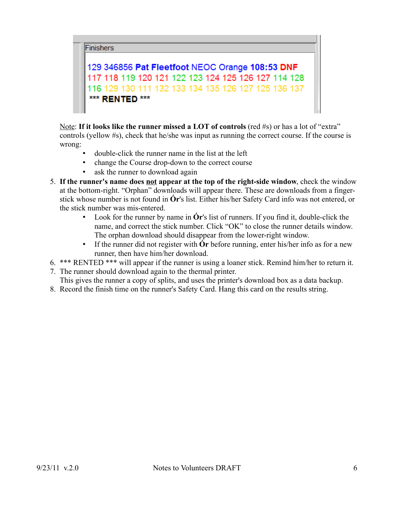

129 346856 Pat Fleetfoot NEOC Orange 108:53 DNF 117 118 119 120 121 122 123 124 125 126 127 114 128 116 129 130 111 132 133 134 135 126 127 125 136 137 \*\*\* RENTED \*\*\*

Note: **If it looks like the runner missed a LOT of controls** (red #s) or has a lot of "extra" controls (yellow #s), check that he/she was input as running the correct course. If the course is wrong:

- double-click the runner name in the list at the left
- change the Course drop-down to the correct course
- ask the runner to download again
- 5. **If the runner's name does not appear at the top of the right-side window**, check the window at the bottom-right. "Orphan" downloads will appear there. These are downloads from a fingerstick whose number is not found in **Ór**'s list. Either his/her Safety Card info was not entered, or the stick number was mis-entered.
	- Look for the runner by name in **Ór**'s list of runners. If you find it, double-click the name, and correct the stick number. Click "OK" to close the runner details window. The orphan download should disappear from the lower-right window.
	- If the runner did not register with **Ór** before running, enter his/her info as for a new runner, then have him/her download.
- 6. \*\*\* RENTED \*\*\* will appear if the runner is using a loaner stick. Remind him/her to return it.
- 7. The runner should download again to the thermal printer. This gives the runner a copy of splits, and uses the printer's download box as a data backup.
- 8. Record the finish time on the runner's Safety Card. Hang this card on the results string.